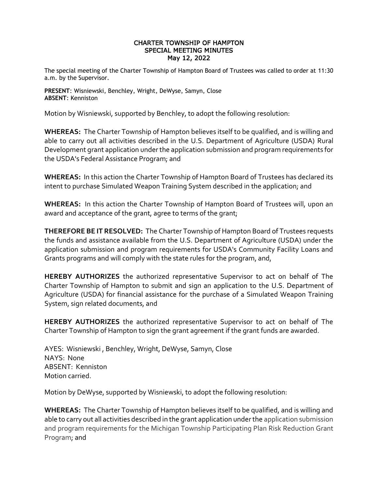## CHARTER TOWNSHIP OF HAMPTON SPECIAL MEETING MINUTES May 12, 2022

The special meeting of the Charter Township of Hampton Board of Trustees was called to order at 11:30 a.m. by the Supervisor.

**PRESENT**: Wisniewski, Benchley, Wright, DeWyse, Samyn, Close **ABSENT**: Kenniston

Motion by Wisniewski, supported by Benchley, to adopt the following resolution:

**WHEREAS:** The Charter Township of Hampton believes itself to be qualified, and is willing and able to carry out all activities described in the U.S. Department of Agriculture (USDA) Rural Development grant application under the application submission and program requirements for the USDA's Federal Assistance Program; and

**WHEREAS:** In this action the Charter Township of Hampton Board of Trustees has declared its intent to purchase Simulated Weapon Training System described in the application; and

**WHEREAS:** In this action the Charter Township of Hampton Board of Trustees will, upon an award and acceptance of the grant, agree to terms of the grant;

**THEREFORE BE IT RESOLVED:** The Charter Township of Hampton Board of Trustees requests the funds and assistance available from the U.S. Department of Agriculture (USDA) under the application submission and program requirements for USDA's Community Facility Loans and Grants programs and will comply with the state rules for the program, and,

**HEREBY AUTHORIZES** the authorized representative Supervisor to act on behalf of The Charter Township of Hampton to submit and sign an application to the U.S. Department of Agriculture (USDA) for financial assistance for the purchase of a Simulated Weapon Training System, sign related documents, and

**HEREBY AUTHORIZES** the authorized representative Supervisor to act on behalf of The Charter Township of Hampton to sign the grant agreement if the grant funds are awarded.

AYES: Wisniewski , Benchley, Wright, DeWyse, Samyn, Close NAYS: None ABSENT: Kenniston Motion carried.

Motion by DeWyse, supported by Wisniewski, to adopt the following resolution:

**WHEREAS:** The Charter Township of Hampton believes itself to be qualified, and is willing and able to carry out all activities described in the grant application under the application submission and program requirements for the Michigan Township Participating Plan Risk Reduction Grant Program; and